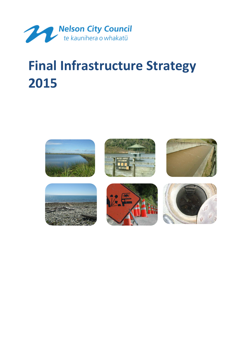

# **Final Infrastructure Strategy 2015**











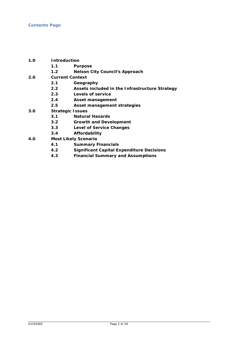- **1.0 Introduction**
	- **1.1 Purpose**
	- **1.2 Nelson City Council's Approach**
- **2.0 Current Context**
	- **2.1 Geography**
	- **2.2 Assets included in the Infrastructure Strategy**
	- **2.3 Levels of service**
	- **2.4 Asset management**
	- **2.5 Asset management strategies**
- **3.0 Strategic Issues**
	- **3.1 Natural Hazards**
	- **3.2 Growth and Development**
	- **3.3 Level of Service Changes**
	- **3.4 Affordability**
- **4.0 Most Likely Scenario**
	- **4.1 Summary Financials**
	- **4.2 Significant Capital Expenditure Decisions**
	- **4.3 Financial Summary and Assumptions**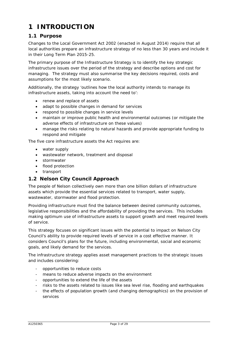# **1 INTRODUCTION**

# **1.1 Purpose**

Changes to the Local Government Act 2002 (enacted in August 2014) require that all local authorities prepare an infrastructure strategy of no less than 30 years and include it in their Long Term Plan 2015-25.

The primary purpose of the Infrastructure Strategy is to identify the key strategic infrastructure issues over the period of the strategy and describe options and cost for managing. The strategy must also summarise the key decisions required, costs and assumptions for the most likely scenario.

Additionally, the strategy 'outlines how the local authority intends to manage its infrastructure assets, taking into account the need to':

- renew and replace of assets
- adapt to possible changes in demand for services
- respond to possible changes in service levels
- maintain or improve public health and environmental outcomes (or mitigate the adverse effects of infrastructure on these values)
- manage the risks relating to natural hazards and provide appropriate funding to respond and mitigate

The five core infrastructure assets the Act requires are:

- water supply
- wastewater network, treatment and disposal
- stormwater
- flood protection
- transport

# **1.2 Nelson City Council Approach**

The people of Nelson collectively own more than one billion dollars of infrastructure assets which provide the essential services related to transport, water supply, wastewater, stormwater and flood protection.

Providing infrastructure must find the balance between desired community outcomes, legislative responsibilities and the affordability of providing the services. This includes making optimum use of infrastructure assets to support growth and meet required levels of service.

This strategy focuses on significant issues with the potential to impact on Nelson City Council's ability to provide required levels of service in a cost effective manner. It considers Council's plans for the future, including environmental, social and economic goals, and likely demand for the services.

The infrastructure strategy applies asset management practices to the strategic issues and includes considering:

- opportunities to reduce costs
- means to reduce adverse impacts on the environment
- opportunities to extend the life of the assets
- risks to the assets related to issues like sea level rise, flooding and earthquakes
- the effects of population growth (and changing demographics) on the provision of services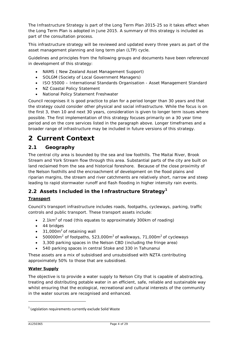The Infrastructure Strategy is part of the Long Term Plan 2015-25 so it takes effect when the Long Term Plan is adopted in June 2015. A summary of this strategy is included as part of the consultation process.

This infrastructure strategy will be reviewed and updated every three years as part of the asset management planning and long term plan (LTP) cycle.

Guidelines and principles from the following groups and documents have been referenced in development of this strategy:

- NAMS ( New Zealand Asset Management Support)
- SOLGM (Society of Local Government Managers)
- ISO 55000 International Standards Organisation Asset Management Standard
- NZ Coastal Policy Statement
- National Policy Statement Freshwater

Council recognises it is good practice to plan for a period longer than 30 years and that the strategy could consider other physical and social infrastructure. While the focus is on the first 3, then 10 and next 30 years, consideration is given to longer term issues where possible. The first implementation of this strategy focuses primarily on a 30 year time period and on the core services listed in the paragraph above. Longer timeframes and a broader range of infrastructure may be included in future versions of this strategy.

# **2 Current Context**

# **2.1 Geography**

The central city area is bounded by the sea and low foothills. The Maitai River, Brook Stream and York Stream flow through this area. Substantial parts of the city are built on land reclaimed from the sea and historical foreshore. Because of the close proximity of the Nelson foothills and the encroachment of development on the flood plains and riparian margins, the stream and river catchments are relatively short, narrow and steep leading to rapid stormwater runoff and flash flooding in higher intensity rain events.

# **2.2 Assets Included in the Infrastructure Strategy[1](#page-14-0)**

# **Transport**

Council's transport infrastructure includes roads, footpaths, cycleways, parking, traffic controls and public transport. These transport assets include:

- 2.1km<sup>2</sup> of road (this equates to approximately 300km of roading)
- 44 bridges
- $\bullet$  31,000 $m^2$  of retaining wall
- 500000 $m^2$  of footpaths, 523,000 $m^2$  of walkways, 71,000 $m^2$  of cycleways
- 3,300 parking spaces in the Nelson CBD (including the fringe area)
- 540 parking spaces in central Stoke and 330 in Tahunanui

These assets are a mix of subsidised an*d* unsubsidised with NZTA contributing approximately 50% to those that are subsidised.

#### **Water Supply**

The objective is to provide a water supply to Nelson City that is capable of abstracting, treating and distributing potable water in an efficient, safe, reliable and sustainable way whilst ensuring that the ecological, recreational and cultural interests of the community in the water sources are recognised and enhanced.

-

 $1$  Legislation requirements currently exclude Solid Waste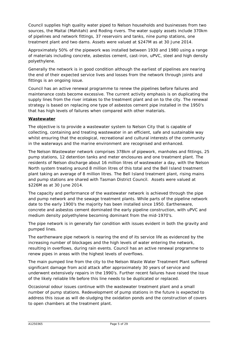Council supplies high quality water piped to Nelson households and businesses from two sources, the Maitai (Mahitahi) and Roding rivers. The water supply assets include 370km of pipelines and network fittings, 37 reservoirs and tanks, nine pump stations, one treatment plant and two dams. Assets were valued at \$247M as at 30 June 2014.

Approximately 50% of the pipework was installed between 1930 and 1980 using a range of materials including concrete, asbestos cement, cast-iron, uPVC, steel and high density polyethylene.

Generally the network is in good condition although the earliest of pipelines are nearing the end of their expected service lives and losses from the network through joints and fittings is an ongoing issue.

Council has an active renewal programme to renew the pipelines before failures and maintenance costs become excessive. The current activity emphasis is on duplicating the supply lines from the river intakes to the treatment plant and on to the city. The renewal strategy is based on replacing one type of asbestos cement pipe installed in the 1950's that has high levels of failures when compared with other materials.

#### **Wastewater**

The objective is to provide a wastewater system to Nelson City that is capable of collecting, containing and treating wastewater in an efficient, safe and sustainable way whilst ensuring that the ecological, recreational and cultural interests of the community in the waterways and the marine environment are recognised and enhanced.

The Nelson Wastewater network comprises 378km of pipework, manholes and fittings, 25 pump stations, 12 detention tanks and meter enclosures and one treatment plant. The residents of Nelson discharge about 16 million litres of wastewater a day, with the Nelson North system treating around 8 million litres of this total and the Bell Island treatment plant taking an average of 8 million litres. The Bell Island treatment plant, rising mains and pump stations are shared with Tasman District Council. Assets were valued at \$226M as at 30 June 2014.

The capacity and performance of the wastewater network is achieved through the pipe and pump network and the sewage treatment plants. While parts of the pipeline network date to the early 1900's the majority has been installed since 1950. Earthenware, concrete and asbestos cement dominated the early pipeline construction, with uPVC and medium density polyethylene becoming dominant from the mid-1970's.

The pipe network is in generally fair condition with issues evident in both the gravity and pumped lines.

The earthenware pipe network is nearing the end of its service life as evidenced by the increasing number of blockages and the high levels of water entering the network, resulting in overflows, during rain events. Council has an active renewal programme to renew pipes in areas with the highest levels of overflows.

The main pumped line from the city to the Nelson Waste Water Treatment Plant suffered significant damage from acid attack after approximately 30 years of service and underwent extensively repairs in the 1990's. Further recent failures have raised the issue of the likely reliable life before this line needs to be duplicated or replaced.

Occasional odour issues continue with the wastewater treatment plant and a small number of pump stations. Redevelopment of pump stations in the future is expected to address this issue as will de-sludging the oxidation ponds and the construction of covers to open chambers at the treatment plant.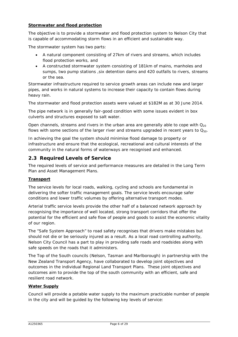#### **Stormwater and flood protection**

The objective is to provide a stormwater and flood protection system to Nelson City that is capable of accommodating storm flows in an efficient and sustainable way.

The stormwater system has two parts:

- A natural component consisting of 27km of rivers and streams, which includes flood protection works, and
- A constructed stormwater system consisting of 181km of mains, manholes and sumps, two pump stations, six detention dams and 420 outfalls to rivers, streams or the sea.

Stormwater infrastructure required to service growth areas can include new and larger pipes, and works in natural systems to increase their capacity to contain flows during heavy rain.

The stormwater and flood protection assets were valued at \$182M as at 30 June 2014.

The pipe network is in generally fair-good condition with some issues evident in box culverts and structures exposed to salt water.

Open channels, streams and rivers in the urban area are generally able to cope with  $Q_{20}$ flows with some sections of the larger river and streams upgraded in recent years to  $Q_{50}$ .

In achieving the goal the system should minimise flood damage to property or infrastructure and ensure that the ecological, recreational and cultural interests of the community in the natural forms of waterways are recognised and enhanced.

# **2.3 Required Levels of Service**

The required levels of service and performance measures are detailed in the Long Term Plan and Asset Management Plans.

#### **Transport**

The service levels for local roads, walking, cycling and schools are fundamental in delivering the softer traffic management goals. The service levels encourage safer conditions and lower traffic volumes by offering alternative transport modes.

Arterial traffic service levels provide the other half of a balanced network approach by recognising the importance of well located, strong transport corridors that offer the potential for the efficient and safe flow of people and goods to assist the economic vitality of our region.

The "Safe System Approach" to road safety recognises that drivers make mistakes but should not die or be seriously injured as a result. As a local road controlling authority, Nelson City Council has a part to play in providing safe roads and roadsides along with safe speeds on the roads that it administers.

The Top of the South councils (Nelson, Tasman and Marlborough) in partnership with the New Zealand Transport Agency, have collaborated to develop joint objectives and outcomes in the individual Regional Land Transport Plans. These joint objectives and outcomes aim to provide the top of the south community with an efficient, safe and resilient road network.

#### **Water Supply**

Council will provide a potable water supply to the maximum practicable number of people in the city and will be guided by the following key levels of service: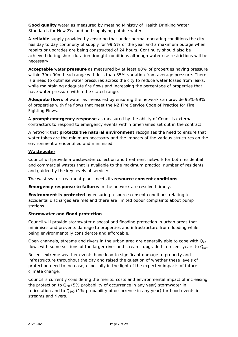**Good quality** water as measured by meeting Ministry of Health Drinking Water Standards for New Zealand and supplying potable water.

A **reliable** supply provided by ensuring that under normal operating conditions the city has day to day continuity of supply for 99.5% of the year and a maximum outage when repairs or upgrades are being constructed of 24 hours. Continuity should also be achieved during short duration drought conditions although water use restrictions will be necessary.

**Acceptable** water **pressure** as measured by at least 80% of properties having pressure within 30m-90m head range with less than 35% variation from average pressure. There is a need to optimise water pressures across the city to reduce water losses from leaks, while maintaining adequate fire flows and increasing the percentage of properties that have water pressure within the stated range.

**Adequate flows** of water as measured by ensuring the network can provide 95%-99% of properties with fire flows that meet the NZ Fire Service Code of Practice for Fire Fighting Flows.

A **prompt emergency response** as measured by the ability of Councils external contractors to respond to emergency events within timeframes set out in the contract.

A network that **protects the natural environment** recognises the need to ensure that water takes are the minimum necessary and the impacts of the various structures on the environment are identified and minimised.

#### **Wastewater**

Council will provide a wastewater collection and treatment network for both residential and commercial wastes that is available to the maximum practical number of residents and guided by the key levels of service:

The wastewater treatment plant meets its **resource consent conditions**.

**Emergency response to failures** in the network are resolved timely.

**Environment is protected** by ensuring resource consent conditions relating to accidental discharges are met and there are limited odour complaints about pump stations

#### **Stormwater and flood protection**

Council will provide stormwater disposal and flooding protection in urban areas that minimises and prevents damage to properties and infrastructure from flooding while being environmentally considerate and affordable.

Open channels, streams and rivers in the urban area are generally able to cope with  $Q_{20}$ flows with some sections of the larger river and streams upgraded in recent years to  $Q_{50}$ .

Recent extreme weather events have lead to significant damage to property and infrastructure throughout the city and raised the question of whether these levels of protection need to increase, especially in the light of the expected impacts of future climate change.

Council is currently considering the merits, costs and environmental impact of increasing the protection to  $Q_{20}$  (5% probability of occurrence in any year) stormwater in reticulation and to  $Q_{100}$  (1% probability of occurrence in any year) for flood events in streams and rivers.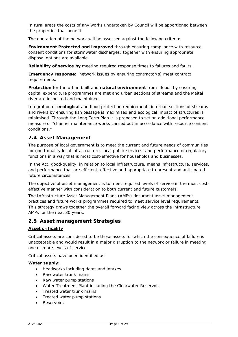In rural areas the costs of any works undertaken by Council will be apportioned between the properties that benefit.

The operation of the network will be assessed against the following criteria:

**Environment Protected and Improved** through ensuring compliance with resource consent conditions for stormwater discharges; together with ensuring appropriate disposal options are available.

**Reliability of service by** meeting required response times to failures and faults.

**Emergency response:** network issues by ensuring contractor(s) meet contract requirements.

**Protection** for the urban built and **natural environment** from floods by ensuring capital expenditure programmes are met and urban sections of streams and the Maitai river are inspected and maintained.

Integration of **ecological** and flood protection requirements in urban sections of streams and rivers by ensuring fish passage is maximised and ecological impact of structures is minimised. Through the Long Term Plan it is proposed to set an additional performance measure of "channel maintenance works carried out in accordance with resource consent conditions."

# **2.4 Asset Management**

The purpose of local government is to meet the current and future needs of communities for good-quality local infrastructure, local public services, and performance of regulatory functions in a way that is most cost-effective for households and businesses.

In the Act, good-quality, in relation to local infrastructure, means infrastructure, services, and performance that are efficient, effective and appropriate to present and anticipated future circumstances.

The objective of asset management is to meet required levels of service in the most costeffective manner with consideration to both current and future customers.

The Infrastructure Asset Management Plans (AMPs) document asset management practices and future works programmes required to meet service level requirements. This strategy draws together the overall forward facing view across the infrastructure AMPs for the next 30 years.

# **2.5 Asset management Strategies**

#### **Asset criticality**

Critical assets are considered to be those assets for which the consequence of failure is unacceptable and would result in a major disruption to the network or failure in meeting one or more levels of service.

Critical assets have been identified as:

#### **Water supply:**

- Headworks including dams and intakes
- Raw water trunk mains
- Raw water pump stations
- Water Treatment Plant including the Clearwater Reservoir
- Treated water trunk mains
- Treated water pump stations
- **Reservoirs**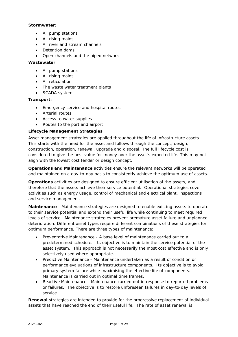#### **Stormwater**:

- All pump stations
- All rising mains
- All river and stream channels
- Detention dams
- Open channels and the piped network

#### **Wastewater**:

- All pump stations
- All rising mains
- All reticulation
- The waste water treatment plants
- SCADA system

#### **Transport:**

- Emergency service and hospital routes
- Arterial routes
- Access to water supplies
- Routes to the port and airport

#### **Lifecycle Management Strategies**

Asset management strategies are applied throughout the life of infrastructure assets. This starts with the need for the asset and follows through the concept, design, construction, operation, renewal, upgrade and disposal. The full lifecycle cost is considered to give the best value for money over the asset's expected life. This may not align with the lowest cost tender or design concept.

**Operations and Maintenance** activities ensure the relevant networks will be operated and maintained on a day-to-day basis to consistently achieve the optimum use of assets.

**Operations** activities are designed to ensure efficient utilisation of the assets, and therefore that the assets achieve their service potential. Operational strategies cover activities such as energy usage, control of mechanical and electrical plant, inspections and service management.

**Maintenance** - Maintenance strategies are designed to enable existing assets to operate to their service potential and extend their useful life while continuing to meet required levels of service. Maintenance strategies prevent premature asset failure and unplanned deterioration. Different asset types require different combinations of these strategies for optimum performance. There are three types of maintenance:

- Preventative Maintenance A base level of maintenance carried out to a predetermined schedule. Its objective is to maintain the service potential of the asset system. This approach is not necessarily the most cost effective and is only selectively used where appropriate.
- Predictive Maintenance Maintenance undertaken as a result of condition or performance evaluations of infrastructure components. Its objective is to avoid primary system failure while maximising the effective life of components. Maintenance is carried out in optimal time frames.
- Reactive Maintenance Maintenance carried out in response to reported problems or failures. The objective is to restore unforeseen failures in day-to-day levels of service.

**Renewal** strategies are intended to provide for the progressive replacement of individual assets that have reached the end of their useful life. The rate of asset renewal is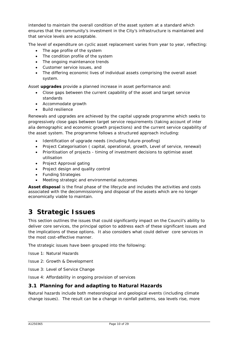intended to maintain the overall condition of the asset system at a standard which ensures that the community's investment in the City's infrastructure is maintained and that service levels are acceptable.

The level of expenditure on cyclic asset replacement varies from year to year, reflecting:

- The age profile of the system
- The condition profile of the system
- The ongoing maintenance trends
- Customer service issues, and
- The differing economic lives of individual assets comprising the overall asset system.

Asset **upgrades** provide a planned increase in asset performance and:

- Close gaps between the current capability of the asset and target service standards
- Accommodate growth
- Build resilience

Renewals and upgrades are achieved by the capital upgrade programme which seeks to progressively close gaps between target service requirements (taking account of inter alia demographic and economic growth projections) and the current service capability of the asset system. The programme follows a structured approach including:

- Identification of upgrade needs (including future-proofing)
- Project Categorisation ( capital, operational, growth, Level of service, renewal)
- Prioritisation of projects timing of investment decisions to optimise asset utilisation
- Project Approval gating
- Project design and quality control
- Funding Strategies
- Meeting strategic and environmental outcomes

**Asset disposal** is the final phase of the lifecycle and includes the activities and costs associated with the decommissioning and disposal of the assets which are no longer economically viable to maintain.

# **3 Strategic Issues**

This section outlines the issues that could significantly impact on the Council's ability to deliver core services, the principal option to address each of these significant issues and the implications of these options. It also considers what could deliver core services in the most cost-effective manner.

The strategic issues have been grouped into the following:

Issue 1: Natural Hazards

Issue 2: Growth & Development

Issue 3: Level of Service Change

Issue 4: Affordability in ongoing provision of services

# **3.1 Planning for and adapting to Natural Hazards**

Natural hazards include both meteorological and geological events (including climate change issues). The result can be a change in rainfall patterns, sea levels rise, more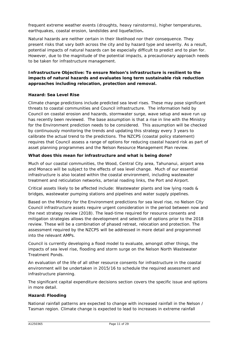frequent extreme weather events (droughts, heavy rainstorms), higher temperatures, earthquakes, coastal erosion, landslides and liquefaction**.**

Natural hazards are neither certain in their likelihood nor their consequence. They present risks that vary both across the city and by hazard type and severity. As a result, potential impacts of natural hazards can be especially difficult to predict and to plan for. However, due to the magnitude of the potential impacts, a precautionary approach needs to be taken for infrastructure management.

#### **Infrastructure Objective: To ensure Nelson's infrastructure is resilient to the impacts of natural hazards and evaluates long term sustainable risk reduction approaches including relocation, protection and removal.**

#### **Hazard: Sea Level Rise**

Climate change predictions include predicted sea level rises. These may pose significant threats to coastal communities and Council infrastructure. The information held by Council on coastal erosion and hazards, stormwater surge, wave setup and wave run up has recently been reviewed. The base assumption is that a rise in line with the Ministry for the Environment prediction needs to be considered. This assumption will be checked by continuously monitoring the trends and updating this strategy every 3 years to calibrate the actual trend to the predictions. The NZCPS (coastal policy statement) requires that Council assess a range of options for reducing coastal hazard risk as part of asset planning programmes and the Nelson Resource Management Plan review.

#### *What does this mean for infrastructure and what is being done?*

Much of our coastal communities, the Wood, Central City area, Tahunanui, airport area and Monaco will be subject to the effects of sea level change. Much of our essential infrastructure is also located within the coastal environment, including wastewater treatment and reticulation networks, arterial roading links, the Port and Airport.

Critical assets likely to be affected include: Wastewater plants and low lying roads & bridges, wastewater pumping stations and pipelines and water supply pipelines.

Based on the Ministry for the Environment predictions for sea level rise, no Nelson City Council infrastructure assets require urgent consideration in the period between now and the next strategy review (2018). The lead-time required for resource consents and mitigation strategies allows the development and selection of options prior to the 2018 review. These will be a combination of phased retreat, relocation and protection. The assessment required by the NZCPS will be addressed in more detail and programmed into the relevant AMPs.

Council is currently developing a flood model to evaluate, amongst other things, the impacts of sea level rise, flooding and storm surge on the Nelson North Wastewater Treatment Ponds.

An evaluation of the life of all other resource consents for infrastructure in the coastal environment will be undertaken in 2015/16 to schedule the required assessment and infrastructure planning.

The significant capital expenditure decisions section covers the specific issue and options in more detail.

#### **Hazard: Flooding**

National rainfall patterns are expected to change with increased rainfall in the Nelson / Tasman region. Climate change is expected to lead to increases in extreme rainfall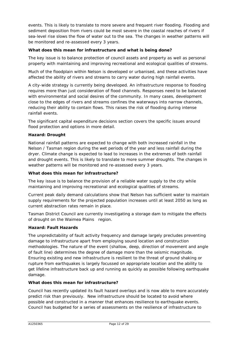events. This is likely to translate to more severe and frequent river flooding. Flooding and sediment deposition from rivers could be most severe in the coastal reaches of rivers if sea-level rise slows the flow of water out to the sea. The changes in weather patterns will be monitored and re-assessed every 3 years.

#### *What does this mean for infrastructure and what is being done?*

The key issue is to balance protection of council assets and property as well as personal property with maintaining and improving recreational and ecological qualities of streams.

Much of the floodplain within Nelson is developed or urbanised, and these activities have affected the ability of rivers and streams to carry water during high rainfall events.

A city-wide strategy is currently being developed. An infrastructure response to flooding requires more than just consideration of flood channels. Responses need to be balanced with environmental and social desires of the community. In many cases, development close to the edges of rivers and streams confines the waterways into narrow channels, reducing their ability to contain flows. This raises the risk of flooding during intense rainfall events.

The significant capital expenditure decisions section covers the specific issues around flood protection and options in more detail.

#### **Hazard: Drought**

National rainfall patterns are expected to change with both increased rainfall in the Nelson / Tasman region during the wet periods of the year and less rainfall during the dryer. Climate change is expected to lead to increases in the extremes of both rainfall and drought events. This is likely to translate to more summer droughts. The changes in weather patterns will be monitored and re-assessed every 3 years.

#### *What does this mean for infrastructure?*

The key issue is to balance the provision of a reliable water supply to the city while maintaining and improving recreational and ecological qualities of streams.

Current peak daily demand calculations show that Nelson has sufficient water to maintain supply requirements for the projected population increases until at least 2050 as long as current abstraction rates remain in place.

Tasman District Council are currently investigating a storage dam to mitigate the effects of drought on the Waimea Plains region.

#### **Hazard: Fault Hazards**

The unpredictability of fault activity frequency and damage largely precludes preventing damage to infrastructure apart from employing sound location and construction methodologies. The nature of the event (shallow, deep, direction of movement and angle of fault line) determines the degree of damage more than the seismic magnitude. Ensuring existing and new infrastructure is resilient to the threat of ground shaking or rupture from earthquakes is largely focussed on appropriate location and the ability to get lifeline infrastructure back up and running as quickly as possible following earthquake damage.

#### *What does this mean for infrastructure?*

Council has recently updated its fault hazard overlays and is now able to more accurately predict risk than previously. New infrastructure should be located to avoid where possible and constructed in a manner that enhances resilience to earthquake events. Council has budgeted for a series of assessments on the resilience of infrastructure to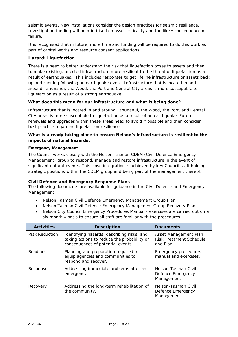seismic events. New installations consider the design practices for seismic resilience. Investigation funding will be prioritised on asset criticality and the likely consequence of failure.

It is recognised that in future, more time and funding will be required to do this work as part of capital works and resource consent applications.

#### **Hazard: Liquefaction**

There is a need to better understand the risk that liquefaction poses to assets and then to make existing, affected infrastructure more resilient to the threat of liquefaction as a result of earthquakes. This includes responses to get lifeline infrastructure or assets back up and running following an earthquake event. Infrastructure that is located in and around Tahunanui, the Wood, the Port and Central City areas is more susceptible to liquefaction as a result of a strong earthquake.

#### *What does this mean for our infrastructure and what is being done?*

Infrastructure that is located in and around Tahunanui, the Wood, the Port, and Central City areas is more susceptible to liquefaction as a result of an earthquake. Future renewals and upgrades within these areas need to avoid if possible and then consider best practice regarding liquefaction resilience.

#### *What is already taking place to ensure Nelson's infrastructure is resilient to the impacts of natural hazards:*

#### **Emergency Management**

The Council works closely with the Nelson Tasman CDEM (Civil Defence Emergency Management) group to respond, manage and restore infrastructure in the event of significant natural events. This close integration is achieved by key Council staff holding strategic positions within the CDEM group and being part of the management thereof.

#### **Civil Defence and Emergency Response Plans**

The following documents are available for guidance in the Civil Defence and Emergency Management:

- Nelson Tasman Civil Defence Emergency Management Group Plan
- Nelson Tasman Civil Defence Emergency Management Group Recovery Plan
- Nelson City Council Emergency Procedures Manual exercises are carried out on a six monthly basis to ensure all staff are familiar with the procedures.

| <b>Activities</b>                                                        | <b>Description</b>                                                                                                             | <b>Documents</b>                                                     |
|--------------------------------------------------------------------------|--------------------------------------------------------------------------------------------------------------------------------|----------------------------------------------------------------------|
| <b>Risk Reduction</b>                                                    | Identifying hazards, describing risks, and<br>taking actions to reduce the probability or<br>consequences of potential events. | Asset Management Plan<br><b>Risk Treatment Schedule</b><br>and Plan. |
| <b>Readiness</b>                                                         | Planning and preparation required to<br>equip agencies and communities to<br>respond and recover.                              | <b>Emergency procedures</b><br>manual and exercises.                 |
| Response                                                                 | Addressing immediate problems after an<br>emergency.                                                                           | Nelson-Tasman Civil<br>Defence Emergency<br>Management               |
| Addressing the long-term rehabilitation of<br>Recovery<br>the community. |                                                                                                                                | Nelson-Tasman Civil<br>Defence Emergency<br>Management               |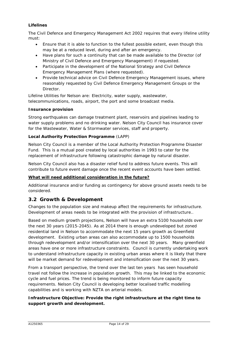#### **Lifelines**

The Civil Defence and Emergency Management Act 2002 requires that every lifeline utility must:

- Ensure that it is able to function to the fullest possible extent, even though this may be at a reduced level, during and after an emergency.
- Have plans for such a continuity that can be made available to the Director (of Ministry of Civil Defence and Emergency Management) if requested.
- Participate in the development of the National Strategy and Civil Defence Emergency Management Plans (where requested).
- Provide technical advice on Civil Defence Emergency Management issues, where reasonably requested by Civil Defence Emergency Management Groups or the Director.

Lifeline Utilities for Nelson are: Electricity, water supply, wastewater, telecommunications, roads, airport, the port and some broadcast media.

#### **Insurance provision**

Strong earthquakes can damage treatment plant, reservoirs and pipelines leading to water supply problems and no drinking water. Nelson City Council has insurance cover for the Wastewater, Water & Stormwater services, staff and property.

#### **Local Authority Protection Programme** (LAPP)

Nelson City Council is a member of the Local Authority Protection Programme Disaster Fund. This is a mutual pool created by local authorities in 1993 to cater for the replacement of infrastructure following catastrophic damage by natural disaster.

Nelson City Council also has a disaster relief fund to address future events. This will contribute to future event damage once the recent event accounts have been settled.

#### **What will need additional consideration in the future?**

Additional insurance and/or funding as contingency for above ground assets needs to be considered.

# **3.2 Growth & Development**

Changes to the population size and makeup affect the requirements for infrastructure. Development of areas needs to be integrated with the provision of infrastructure..

Based on medium growth projections, Nelson will have an extra 5100 households over the next 30 years (2015-2045). As at 2014 there is enough undeveloped but zoned residential land in Nelson to accommodate the next 15 years growth as Greenfield development. Existing urban areas can also accommodate up to 1500 households through redevelopment and/or intensification over the next 30 years. Many greenfield areas have one or more infrastructure constraints. Council is currently undertaking work to understand infrastructure capacity in existing urban areas where it is likely that there will be market demand for redevelopment and intensification over the next 30 years.

From a transport perspective, the trend over the last ten years has seen household travel not follow the increase in population growth. This may be linked to the economic cycle and fuel prices. The trend is being monitored to inform future capacity requirements. Nelson City Council is developing better localised traffic modelling capabilities and is working with NZTA on arterial models.

#### **Infrastructure Objective: Provide the right infrastructure at the right time to support growth and development.**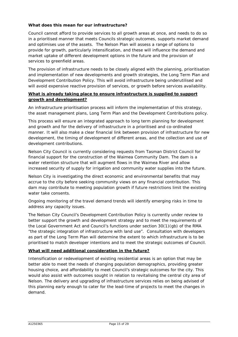#### *What does this mean for our infrastructure?*

Council cannot afford to provide services to all growth areas at once, and needs to do so in a prioritised manner that meets Councils strategic outcomes, supports market demand and optimises use of the assets. The Nelson Plan will assess a range of options to provide for growth, particularly intensification, and these will influence the demand and market uptake of different development options in the future and the provision of services to greenfield areas.

The provision of infrastructure needs to be closely aligned with the planning, prioritisation and implementation of new developments and growth strategies, the Long Term Plan and Development Contribution Policy. This will avoid infrastructure being underutilised and will avoid expensive reactive provision of services, or growth before services availability.

#### *What is already taking place to ensure infrastructure is supplied to support growth and development?*

An infrastructure prioritisation process will inform the implementation of this strategy, the asset management plans, Long Term Plan and the Development Contributions policy.

This process will ensure an integrated approach to long term planning for development and growth and for the delivery of infrastructure in a prioritised and co-ordinated manner. It will also make a clear financial link between provision of infrastructure for new development, the timing of development of different areas, and the collection and use of development contributions.

Nelson City Council is currently considering requests from Tasman District Council for financial support for the construction of the Waimea Community Dam. The dam is a water retention structure that will augment flows in the Waimea River and allow increased security of supply for irrigation and community water supplies into the future.

Nelson City is investigating the direct economic and environmental benefits that may accrue to the city before seeking community views on any financial contribution. This dam may contribute to meeting population growth if future restrictions limit the existing water take consents.

Ongoing monitoring of the travel demand trends will identify emerging risks in time to address any capacity issues.

The Nelson City Council's Development Contribution Policy is currently under review to better support the growth and development strategy and to meet the requirements of the Local Government Act and Council's functions under section 30(1)(gb) of the RMA "the strategic integration of infrastructure with land use". Consultation with developers as part of the Long Term Plan will determine the extent to which infrastructure is to be prioritised to match developer intentions and to meet the strategic outcomes of Council.

#### *What will need additional consideration in the future?*

<span id="page-14-0"></span>Intensification or redevelopment of existing residential areas is an option that may be better able to meet the needs of changing population demographics, providing greater housing choice, and affordability to meet Council's strategic outcomes for the city. This would also assist with outcomes sought in relation to revitalising the central city area of Nelson. The delivery and upgrading of infrastructure services relies on being advised of this planning early enough to cater for the lead-time of projects to meet the changes in demand.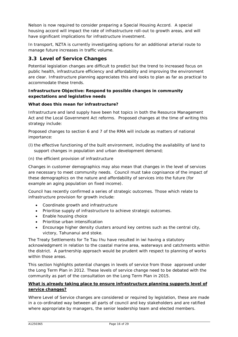Nelson is now required to consider preparing a Special Housing Accord. A special housing accord will impact the rate of infrastructure roll-out to growth areas, and will have significant implications for infrastructure investment.

In transport, NZTA is currently investigating options for an additional arterial route to manage future increases in traffic volume.

# **3.3 Level of Service Changes**

Potential legislation changes are difficult to predict but the trend to increased focus on public health, infrastructure efficiency and affordability and improving the environment are clear. Infrastructure planning appreciates this and looks to plan as far as practical to accommodate these trends.

#### **Infrastructure Objective: Respond to possible changes in community expectations and legislative needs**

#### *What does this mean for infrastructure?*

Infrastructure and land supply have been hot topics in both the Resource Management Act and the Local Government Act reforms. Proposed changes at the time of writing this strategy include:

Proposed changes to section 6 and 7 of the RMA will include as matters of national importance:

- (l) the effective functioning of the built environment, including the availability of land to support changes in population and urban development demand;
- (n) the efficient provision of infrastructure

Changes in customer demographics may also mean that changes in the level of services are necessary to meet community needs. Council must take cognisance of the impact of these demographics on the nature and affordability of services into the future (for example an aging population on fixed income).

Council has recently confirmed a series of strategic outcomes. Those which relate to infrastructure provision for growth include:

- Coordinate growth and infrastructure
- Prioritise supply of infrastructure to achieve strategic outcomes.
- Enable housing choice
- Prioritise urban intensification
- Encourage higher density clusters around key centres such as the central city, victory, Tahunanui and stoke.

The Treaty Settlements for Te Tau Ihu have resulted in iwi having a statutory acknowledgment in relation to the coastal marine area, waterways and catchments within the district. A partnership approach would be prudent with respect to planning of works within those areas.

This section highlights potential changes in levels of service from those approved under the Long Term Plan in 2012. These levels of service change need to be debated with the community as part of the consultation on the Long Term Plan in 2015.

#### *What is already taking place to ensure infrastructure planning supports level of service changes?*

Where Level of Service changes are considered or required by legislation, these are made in a co-ordinated way between all parts of council and key stakeholders and are ratified where appropriate by managers, the senior leadership team and elected members.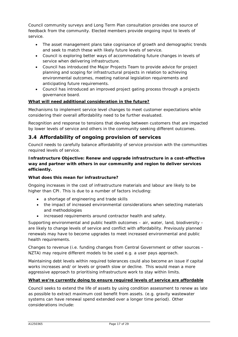Council community surveys and Long Term Plan consultation provides one source of feedback from the community. Elected members provide ongoing input to levels of service.

- The asset management plans take cognisance of growth and demographic trends and seek to match these with likely future levels of service.
- Council is exploring better ways of accommodating future changes in levels of service when delivering infrastructure.
- Council has introduced the Major Projects Team to provide advice for project planning and scoping for infrastructural projects in relation to achieving environmental outcomes, meeting national legislation requirements and anticipating future requirements.
- Council has introduced an improved project gating process through a projects governance board.

#### *What will need additional consideration in the future?*

Mechanisms to implement service level changes to meet customer expectations while considering their overall affordability need to be further evaluated.

Recognition and response to tensions that develop between customers that are impacted by lower levels of service and others in the community seeking different outcomes.

# **3.4 Affordability of ongoing provision of services**

Council needs to carefully balance affordability of service provision with the communities required levels of service.

#### **Infrastructure Objective: Renew and upgrade infrastructure in a cost-effective way and partner with others in our community and region to deliver services efficiently.**

#### *What does this mean for infrastructure?*

Ongoing increases in the cost of infrastructure materials and labour are likely to be higher than CPI. This is due to a number of factors including:

- a shortage of engineering and trade skills
- the impact of increased environmental considerations when selecting materials and methodologies
- increased requirements around contractor health and safety.

Supporting environmental and public health outcomes – air, water, land, biodiversity – are likely to change levels of service and conflict with affordability. Previously planned renewals may have to become upgrades to meet increased environmental and public health requirements.

Changes to revenue (i.e. funding changes from Central Government or other sources – NZTA) may require different models to be used e.g. a user pays approach.

Maintaining debt levels within required tolerances could also become an issue if capital works increases and/ or levels or growth slow or decline. This would mean a more aggressive approach to prioritising infrastructure work to stay within limits.

# *What we're currently doing to ensure required levels of service are affordable*

Council seeks to extend the life of assets by using condition assessment to renew as late as possible to extract maximum cost benefit from assets. (e.g. gravity wastewater systems can have renewal spend extended over a longer time period). Other considerations include: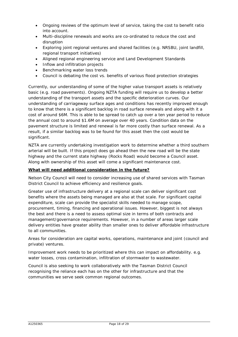- Ongoing reviews of the optimum level of service, taking the cost to benefit ratio into account.
- Multi-discipline renewals and works are co-ordinated to reduce the cost and disruption
- Exploring joint regional ventures and shared facilities (e.g. NRSBU, joint landfill, regional transport initiatives)
- Aligned regional engineering service and Land Development Standards
- Inflow and infiltration projects
- Benchmarking water loss trends
- Council is debating the cost vs. benefits of various flood protection strategies

Currently, our understanding of some of the higher value transport assets is relatively basic (e.g. road pavements). Ongoing NZTA funding will require us to develop a better understanding of the transport assets and the specific deterioration curves. Our understanding of carriageway surface ages and conditions has recently improved enough to know that there is a significant backlog in road surface renewals and along with it a cost of around \$6M. This is able to be spread to catch up over a ten year period to reduce the annual cost to around \$1.6M on average over 40 years. Condition data on the pavement structure is limited and renewal is far more costly than surface renewal. As a result, if a similar backlog was to be found for this asset then the cost would be significant.

NZTA are currently undertaking investigation work to determine whether a third southern arterial will be built. If this project does go ahead then the new road will be the state highway and the current state highway (Rocks Road) would become a Council asset. Along with ownership of this asset will come a significant maintenance cost.

#### *What will need additional consideration in the future?*

Nelson City Council will need to consider increasing use of shared services with Tasman District Council to achieve efficiency and resilience goals.

Greater use of infrastructure delivery at a regional scale can deliver significant cost benefits where the assets being managed are also at that scale. For significant capital expenditure, scale can provide the specialist skills needed to manage scope, procurement, timing, financing and operational issues. However, biggest is not always the best and there is a need to assess optimal size in terms of both contracts and management/governance requirements. However, in a number of areas larger scale delivery entities have greater ability than smaller ones to deliver affordable infrastructure to all communities.

Areas for consideration are capital works, operations, maintenance and joint (council and private) ventures.

Improvement work needs to be prioritized where this can impact on affordability. e.g. water losses, cross contamination, infiltration of stormwater to wastewater.

Council is also seeking to work collaboratively with the Tasman District Council recognising the reliance each has on the other for infrastructure and that the communities we serve seek common regional outcomes.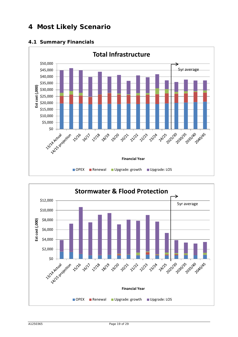# **4 Most Likely Scenario**





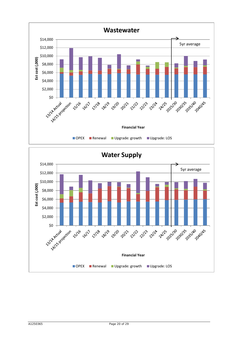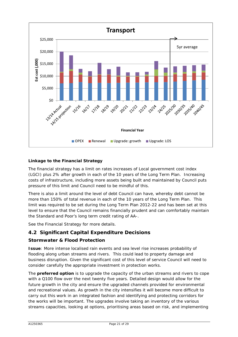

# **Linkage to the Financial Strategy**

The financial strategy has a limit on rates increases of Local government cost index (LGCI) plus 2% after growth in each of the 10 years of the Long Term Plan. Increasing costs of infrastructure, including more assets being built and maintained by Council puts pressure of this limit and Council need to be mindful of this.

There is also a limit around the level of debt Council can have, whereby debt cannot be more than 150% of total revenue in each of the 10 years of the Long Term Plan. This limit was required to be set during the Long Term Plan 2012-22 and has been set at this level to ensure that the Council remains financially prudent and can comfortably maintain the Standard and Poor's long term credit rating of AA-.

See the Financial Strategy for more details.

# **4.2 Significant Capital Expenditure Decisions**

# **Stormwater & Flood Protection**

**Issue**: More intense localised rain events and sea level rise increases probability of flooding along urban streams and rivers. This could lead to property damage and business disruption. Given the significant cost of this level of service Council will need to consider carefully the appropriate investment in protection works.

The **preferred option** is to upgrade the capacity of the urban streams and rivers to cope with a Q100 flow over the next twenty five years. Detailed design would allow for the future growth in the city and ensure the upgraded channels provided for environmental and recreational values. As growth in the city intensifies it will become more difficult to carry out this work in an integrated fashion and identifying and protecting corridors for the works will be important. The upgrades involve taking an inventory of the various streams capacities, looking at options, prioritising areas based on risk, and implementing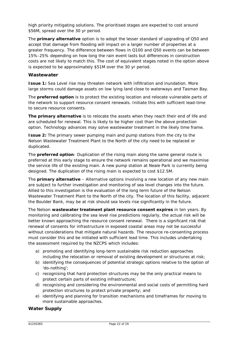high priority mitigating solutions. The prioritised stages are expected to cost around \$56M, spread over the 30 yr period.

The **primary alternative** option is to adopt the lesser standard of upgrading of Q50 and accept that damage from flooding will impact on a larger number of properties at a greater frequency. The difference between flows in Q100 and Q50 events can be between 15%-25% depending on how long the rain event lasts but differences in construction costs are not likely to match this. The cost of equivalent stages noted in the option above is expected to be approximately \$51M over the 30 yr period.

#### **Wastewater**

**Issue 1:** Sea Level rise may threaten network with infiltration and inundation. More large storms could damage assets on low lying land close to waterways and Tasman Bay.

The **preferred option** is to protect the existing location and relocate vulnerable parts of the network to support resource consent renewals. Initiate this with sufficient lead-time to secure resource consents.

**The primary alternative** is to relocate the assets when they reach their end of life and are scheduled for renewal. This is likely to be higher cost than the above protection option. Technology advances may solve wastewater treatment in the likely time frame.

**Issue 2:** The primary sewer pumping main and pump stations from the city to the Nelson Wastewater Treatment Plant to the North of the city need to be replaced or duplicated.

The **preferred option**- Duplication of the rising main along the same general route is preferred at this early stage to ensure the network remains operational and we maximise the service life of the existing main. A new pump station at Neale Park is currently being designed. The duplication of the rising main is expected to cost \$12.5M.

The **primary alternative** – Alternative options involving a new location of any new main are subject to further investigation and monitoring of sea level changes into the future. Allied to this investigation is the evaluation of the long term future of the Nelson Wastewater Treatment Plant to the North of the city. The location of this facility, adjacent the Boulder Bank, may be at risk should sea levels rise significantly in the future.

The Nelson **wastewater treatment plant resource consent expires** in ten years. By monitoring and calibrating the sea level rise predictions regularly, the actual risk will be better known approaching the resource consent renewal. There is a significant risk that renewal of consents for infrastructure in exposed coastal areas may not be successful without considerations that mitigate natural hazards. The resource re-consenting process must consider this and be initiated with sufficient lead time. This includes undertaking the assessment required by the NZCPS which includes:

- a) promoting and identifying long-term sustainable risk reduction approaches including the relocation or removal of existing development or structures at risk;
- b) identifying the consequences of potential strategic options relative to the option of 'do-nothing';
- c) recognising that hard protection structures may be the only practical means to protect certain parts of existing infrastructure;
- d) recognising and considering the environmental and social costs of permitting hard protection structures to protect private property; and
- e) identifying and planning for transition mechanisms and timeframes for moving to more sustainable approaches.

# **Water Supply**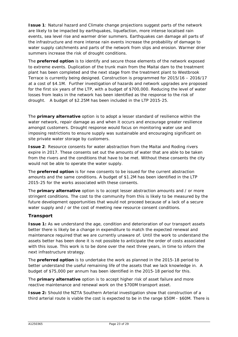**Issue 1**: Natural hazard and Climate change projections suggest parts of the network are likely to be impacted by earthquakes, liquefaction, more intense localised rain events, sea level rise and warmer drier summers. Earthquakes can damage all parts of the infrastructure and more intense rain events increase the probability of damage to water supply catchments and parts of the network from slips and erosion. Warmer drier summers increase the risk of drought conditions.

The **preferred option** is to identify and secure those elements of the network exposed to extreme events. Duplication of the trunk main from the Maitai dam to the treatment plant has been completed and the next stage from the treatment plant to Westbrook Terrace is currently being designed. Construction is programmed for 2015/16 – 2016/17 at a cost of \$4.1M. Further investigation of hazards and network upgrades are proposed for the first six years of the LTP, with a budget of \$700,000. Reducing the level of water losses from leaks in the network has been identified as the response to the risk of drought. A budget of \$2.25M has been included in the LTP 2015-25.

The **primary alternative** option is to adopt a lesser standard of resilience within the water network, repair damage as and when it occurs and encourage greater resilience amongst customers. Drought response would focus on monitoring water use and imposing restrictions to ensure supply was sustainable and encouraging significant on site private water storage by customers.

**Issue 2**: Resource consents for water abstraction from the Maitai and Roding rivers expire in 2017. These consents set out the amounts of water that are able to be taken from the rivers and the conditions that have to be met. Without these consents the city would not be able to operate the water supply.

The **preferred option** is for new consents to be issued for the current abstraction amounts and the same conditions. A budget of \$1.2M has been identified in the LTP 2015-25 for the works associated with these consents.

The **primary alternative** option is to accept lesser abstraction amounts and / or more stringent conditions. The cost to the community from this is likely to be measured by the future development opportunities that would not proceed because of a lack of a secure water supply and / or the cost of meeting new resource consent conditions.

# **Transport**

**Issue 1:** As we understand the age, condition and deterioration of our transport assets better there is likely be a change in expenditure to match the expected renewal and maintenance required that we are currently unaware of. Until the work to understand the assets better has been done it is not possible to anticipate the order of costs associated with this issue. This work is to be done over the next three years, in time to inform the next infrastructure strategy.

The **preferred option** is to undertake the work as planned in the 2015-18 period to better understand the useful remaining life of the assets that we lack knowledge in. A budget of \$75,000 per annum has been identified in the 2015-18 period for this.

The **primary alternative** option is to accept higher risk of asset failure and more reactive maintenance and renewal work on the \$700M transport asset.

**Issue 2:** Should the NZTA Southern Arterial investigation show that construction of a third arterial route is viable the cost is expected to be in the range \$50M - \$60M. There is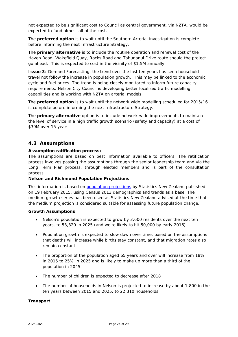not expected to be significant cost to Council as central government, via NZTA, would be expected to fund almost all of the cost.

The **preferred option** is to wait until the Southern Arterial investigation is complete before informing the next Infrastructure Strategy.

The **primary alternative** is to include the routine operation and renewal cost of the Haven Road, Wakefield Quay, Rocks Road and Tahunanui Drive route should the project go ahead. This is expected to cost in the vicinity of \$1.5M annually.

**Issue 3**: Demand Forecasting, the trend over the last ten years has seen household travel not follow the increase in population growth. This may be linked to the economic cycle and fuel prices. The trend is being closely monitored to inform future capacity requirements. Nelson City Council is developing better localised traffic modelling capabilities and is working with NZTA on arterial models.

The **preferred option** is to wait until the network wide modelling scheduled for 2015/16 is complete before informing the next Infrastructure Strategy.

The **primary alternative** option is to include network wide improvements to maintain the level of service in a high traffic growth scenario (safety and capacity) at a cost of \$30M over 15 years.

# **4.3 Assumptions**

#### **Assumption ratification process:**

The assumptions are based on best information available to officers. The ratification process involves passing the assumptions through the senior leadership team and via the Long Term Plan process, through elected members and is part of the consultation process.

#### **Nelson and Richmond Population Projections**

This information is based on [population projections](http://www.stats.govt.nz/browse_for_stats/population/estimates_and_projections/SubnationalPopulationProjections_HOTP2013base.aspx) by Statistics New Zealand published on 19 February 2015, using Census 2013 demographics and trends as a base. The medium growth series has been used as Statistics New Zealand advised at the time that the medium projection is considered suitable for assessing future population change.

#### **Growth Assumptions**

- Nelson's population is expected to grow by 3,600 residents over the next ten years, to 53,320 in 2025 (and we're likely to hit 50,000 by early 2016)
- Population growth is expected to slow down over time, based on the assumptions that deaths will increase while births stay constant, and that migration rates also remain constant
- The proportion of the population aged 65 years and over will increase from 18% in 2015 to 25% in 2025 and is likely to make up more than a third of the population in 2045
- The number of children is expected to decrease after 2018
- The number of households in Nelson is projected to increase by about 1,800 in the ten years between 2015 and 2025, to 22,310 households

#### **Transport**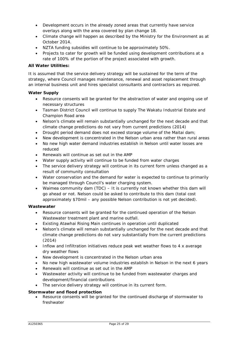- Development occurs in the already zoned areas that currently have service overlays along with the area covered by plan change 18.
- Climate change will happen as described by the Ministry for the Environment as at October 2014.
- NZTA funding subsidies will continue to be approximately 50%.
- Projects to cater for growth will be funded using development contributions at a rate of 100% of the portion of the project associated with growth.

#### **All Water Utilities:**

It is assumed that the service delivery strategy will be sustained for the term of the strategy, where Council manages maintenance, renewal and asset replacement through an internal business unit and hires specialist consultants and contractors as required.

#### **Water Supply**

- Resource consents will be granted for the abstraction of water and ongoing use of necessary structures
- Tasman District Council will continue to supply The Wakatu Industrial Estate and Champion Road area
- Nelson's climate will remain substantially unchanged for the next decade and that climate change predictions do not vary from current predictions (2014)
- Drought period demand does not exceed storage volume of the Maitai dam;
- New development is concentrated in the Nelson urban area rather than rural areas
- No new high water demand industries establish in Nelson until water losses are reduced
- Renewals will continue as set out in the AMP
- Water supply activity will continue to be funded from water charges
- The service delivery strategy will continue in its current form unless changed as a result of community consultation
- Water conservation and the demand for water is expected to continue to primarily be managed through Council's water charging system.
- Waimea community dam (TDC) It is currently not known whether this dam will go ahead or not. Nelson could be asked to contribute to this dam (total cost approximately \$70mil – any possible Nelson contribution is not yet decided).

#### **Wastewater**

- Resource consents will be granted for the continued operation of the Nelson Wastewater treatment plant and marine outfall.
- Existing Atawhai Rising Main continues in operation until duplicated
- Nelson's climate will remain substantially unchanged for the next decade and that climate change predictions do not vary substantially from the current predictions (2014)
- Inflow and Infiltration initiatives reduce peak wet weather flows to 4 x average dry weather flows
- New development is concentrated in the Nelson urban area
- No new high wastewater volume industries establish in Nelson in the next 6 years
- Renewals will continue as set out in the AMP
- Wastewater activity will continue to be funded from wastewater charges and development/financial contributions
- The service delivery strategy will continue in its current form.

#### **Stormwater and flood protection**

• Resource consents will be granted for the continued discharge of stormwater to freshwater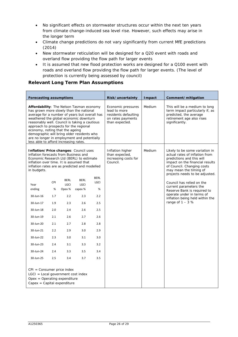- No significant effects on stormwater structures occur within the next ten years from climate change-induced sea level rise. However, such effects may arise in the longer term
- Climate change predictions do not vary significantly from current MfE predictions (2014)
- New stormwater reticulation will be designed for a Q20 event with roads and overland flow providing the flow path for larger events
- It is assumed that new flood protection works are designed for a Q100 event with roads and overland flow providing the flow path for larger events. (The level of protection is currently being assessed by council)

#### **Relevant Long Term Plan Assumptions**

| Forecasting assumptions                                                                                                                                                                                                                                                                                                                                                                                                                                                                                                               |                                                                                |                                                                                                            |                                                                                                      |                                                                                                | Risk/uncertainty                                                                                  | <b>I</b> mpact | Comment/mitigation                                                                                                                                                                                                                                                                                                                                                                                     |
|---------------------------------------------------------------------------------------------------------------------------------------------------------------------------------------------------------------------------------------------------------------------------------------------------------------------------------------------------------------------------------------------------------------------------------------------------------------------------------------------------------------------------------------|--------------------------------------------------------------------------------|------------------------------------------------------------------------------------------------------------|------------------------------------------------------------------------------------------------------|------------------------------------------------------------------------------------------------|---------------------------------------------------------------------------------------------------|----------------|--------------------------------------------------------------------------------------------------------------------------------------------------------------------------------------------------------------------------------------------------------------------------------------------------------------------------------------------------------------------------------------------------------|
| <b>Affordability:</b> The Nelson Tasman economy<br>has grown more slowly than the national<br>average for a number of years but overall has<br>weathered the global economic downturn<br>reasonably well. Council is taking a cautious<br>approach to prospects for the regional<br>economy, noting that the ageing<br>demographic will bring older residents who<br>are no longer in employment and potentially<br>less able to afford increasing rates.                                                                             |                                                                                |                                                                                                            |                                                                                                      |                                                                                                | Economic pressures<br>lead to more<br>residents defaulting<br>on rates payments<br>than expected. | <b>Medium</b>  | This will be a medium to long<br>term impact particularly if, as<br>predicted, the average<br>retirement age also rises<br>significantly.                                                                                                                                                                                                                                                              |
| Inflation/Price changes: Council uses<br>inflation forecasts from Business and<br>Economic Research Ltd (BERL) to estimate<br>inflation over time. It is assumed that<br>inflation rates are as predicted and modelled<br>in budgets.<br>Year<br>ending<br>30-Jun-16<br>30-Jun-17<br>30-Jun-18<br>30-Jun-19<br>30-Jun-20<br>30-Jun-21<br>30-Jun-22<br>30-Jun-23<br>30-Jun-24<br>30-Jun-25<br>$CPI = Consumer price index$<br>$LGCI = Local government cost index$<br>$O$ pex = Operating expenditure<br>$Capex = Capital expenditure$ | CPI<br>%<br>1.7<br>1.9<br>2.0<br>2.1<br>2.1<br>2.2<br>2.3<br>2.4<br>2.4<br>2.5 | <b>BERL</b><br><b>LGCI</b><br>Opex %<br>2.2<br>2.3<br>2.4<br>2.6<br>2.7<br>2.9<br>3.0<br>3.1<br>3.3<br>3.4 | <b>BERL</b><br>LGCI<br>capex %<br>2.3<br>2.6<br>2.6<br>2.7<br>2.8<br>3.0<br>3.1<br>3.3<br>3.5<br>3.7 | <b>BERL</b><br>LGCI<br>%<br>2.2<br>2.5<br>2.5<br>2.6<br>2.8<br>2.9<br>3.0<br>3.2<br>3.4<br>3.5 | Inflation higher<br>than expected,<br>increasing costs for<br>Council.                            | Medium         | Likely to be some variation in<br>actual rates of inflation from<br>predictions and this will<br>impact on the financial results<br>of Council. Changing costs<br>may mean the timing of<br>projects needs to be adjusted.<br>Council has relied on the<br>current parameters the<br>Reserve Bank is required to<br>operate under in terms of<br>inflation being held within the<br>range of $1 - 3$ % |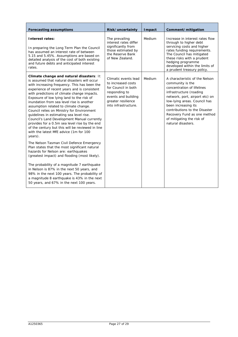| <b>Forecasting assumptions</b>                                                                                                                                                                                                                                                                                                                                                                                                                                                                                                                                                                                                                                                                                                                                                                                                                                                                                     | Risk/uncertainty                                                                                                                                        | <b>I</b> mpact | Comment/mitigation                                                                                                                                                                                                                                                                                                      |
|--------------------------------------------------------------------------------------------------------------------------------------------------------------------------------------------------------------------------------------------------------------------------------------------------------------------------------------------------------------------------------------------------------------------------------------------------------------------------------------------------------------------------------------------------------------------------------------------------------------------------------------------------------------------------------------------------------------------------------------------------------------------------------------------------------------------------------------------------------------------------------------------------------------------|---------------------------------------------------------------------------------------------------------------------------------------------------------|----------------|-------------------------------------------------------------------------------------------------------------------------------------------------------------------------------------------------------------------------------------------------------------------------------------------------------------------------|
| Interest rates:<br>In preparing the Long Term Plan the Council<br>has assumed an interest rate of between<br>5.15 and 5.45%. Assumptions are based on<br>detailed analysis of the cost of both existing<br>and future debts and anticipated interest<br>rates.                                                                                                                                                                                                                                                                                                                                                                                                                                                                                                                                                                                                                                                     | The prevailing<br>interest rates differ<br>significantly from<br>those estimated by<br>the Reserve Bank<br>of New Zealand.                              | Medium         | Increase in interest rates flow<br>through to higher debt<br>servicing costs and higher<br>rates funding requirements.<br>The Council has mitigated<br>these risks with a prudent<br>hedging programme<br>developed within the limits of<br>a prudent treasury policy.                                                  |
| Climate change and natural disasters: It<br>is assumed that natural disasters will occur<br>with increasing frequency. This has been the<br>experience of recent years and is consistent<br>with predictions of climate change impacts.<br>Exposure of low lying land to the risk of<br>inundation from sea level rise is another<br>assumption related to climate change.<br>Council relies on Ministry for Environment<br>guidelines in estimating sea level rise.<br>Council's Land Development Manual currently<br>provides for a 0.5m sea level rise by the end<br>of the century but this will be reviewed in line<br>with the latest MfE advice (1m for 100<br>years).<br>The Nelson Tasman Civil Defence Emergency<br>Plan states that the most significant natural<br>hazards for Nelson are: earthquakes<br>(greatest impact) and flooding (most likely).<br>The probability of a magnitude 7 earthquake | Climatic events lead<br>to increased costs<br>for Council in both<br>responding to<br>events and building<br>greater resilience<br>into infrastructure. | Medium         | A characteristic of the Nelson<br>community is the<br>concentration of lifelines<br>infrastructure (roading<br>network, port, airport etc) on<br>low-lying areas. Council has<br>been increasing its<br>contributions to the Disaster<br>Recovery Fund as one method<br>of mitigating the risk of<br>natural disasters. |
| in Nelson is 87% in the next 50 years, and<br>98% in the next 100 years. The probability of<br>a magnitude 8 earthquake is 43% in the next<br>50 years, and 67% in the next 100 years.                                                                                                                                                                                                                                                                                                                                                                                                                                                                                                                                                                                                                                                                                                                             |                                                                                                                                                         |                |                                                                                                                                                                                                                                                                                                                         |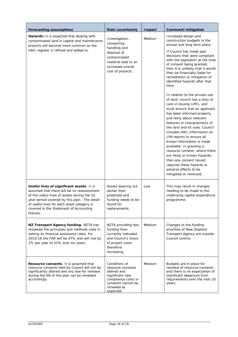| Forecasting assumptions                                                                                                                                                                                                                                                                     | Risk/uncertainty                                                                                                                              | <b>I</b> mpact | Comment/mitigation                                                                                                                                                                                                                                                                                                                                                                                                                                                                                                                                                                                                                                                                                                                                                                                                                                                                                                                   |
|---------------------------------------------------------------------------------------------------------------------------------------------------------------------------------------------------------------------------------------------------------------------------------------------|-----------------------------------------------------------------------------------------------------------------------------------------------|----------------|--------------------------------------------------------------------------------------------------------------------------------------------------------------------------------------------------------------------------------------------------------------------------------------------------------------------------------------------------------------------------------------------------------------------------------------------------------------------------------------------------------------------------------------------------------------------------------------------------------------------------------------------------------------------------------------------------------------------------------------------------------------------------------------------------------------------------------------------------------------------------------------------------------------------------------------|
| Hazards: It is expected that dealing with<br>contaminated land in capital and maintenance<br>projects will become more common as the<br>HAIL register is refined and added to.                                                                                                              | Investigation,<br>consenting,<br>handling and<br>disposal of<br>contaminated<br>material lead to an<br>increased overall<br>cost of projects. | Medium         | Increased design and<br>construction budgets in the<br>annual and long term plans.<br>If Council has made past<br>decisions that were compliant<br>with the legislation at the time<br>of consent being granted,<br>then it is unlikely that it would<br>then be financially liable for<br>remediation or mitigation of<br>identified hazards after that<br>time.<br>In relation to the private use<br>of land, council has a duty of<br>care in issuing LIM's, and<br>must ensure that an applicant<br>has been informed properly<br>and fairly about relevant<br>features or characteristics of<br>the land and its uses. Council<br>includes HAIL information on<br>LIM reports to ensure all<br>known information is made<br>available. In granting a<br>resource consent, where there<br>are likely or known hazards,<br>then any consent issued<br>requires these hazards or<br>adverse effects to be<br>mitigated or removed. |
| Useful lives of significant assets: It is<br>assumed that there will be no reassessment<br>of the useful lives of assets during the 10<br>year period covered by this plan. The detail<br>of useful lives for each asset category is<br>covered in the Statement of Accounting<br>Policies. | Assets wearing out<br>earlier than<br>predicted and<br>funding needs to be<br>found for<br>replacements.                                      | Low            | This may result in changes<br>needing to be made to the<br>underlying capital expenditure<br>programme.                                                                                                                                                                                                                                                                                                                                                                                                                                                                                                                                                                                                                                                                                                                                                                                                                              |
| NZ Transport Agency funding: NZTA has<br>reviewed the principals and methods used in<br>setting its financial assistance rates. For<br>2015/16 the FAR will be 47% and will rise by<br>1% per year to 51% over six years.                                                                   | NZTA providing less<br>funding than<br>currently indicated<br>and Council's share<br>of project costs<br>therefore<br>increasing.             | Medium         | Changes to the funding<br>priorities of New Zealand<br>Transport Agency are outside<br>Council control.                                                                                                                                                                                                                                                                                                                                                                                                                                                                                                                                                                                                                                                                                                                                                                                                                              |
| <b>Resource consents:</b> It is assumed that<br>resource consents held by Council will not be<br>significantly altered and any due for renewal<br>during the life of the plan can be renewed<br>accordingly.                                                                                | Conditions of<br>resource consents<br>altered and<br>significant new<br>compliance costs or<br>consents cannot be<br>renewed as<br>expected.  | Medium         | Budgets are in place for<br>renewal of resource consents<br>and there is no expectation of<br>significant departure from<br>requirements over the next 10<br>years.                                                                                                                                                                                                                                                                                                                                                                                                                                                                                                                                                                                                                                                                                                                                                                  |